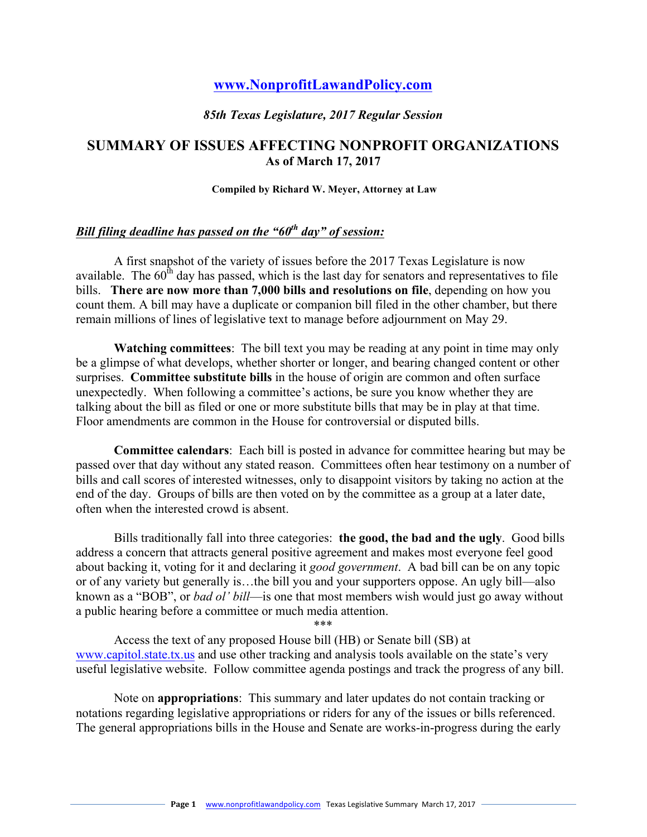# **www.NonprofitLawandPolicy.com**

#### *85th Texas Legislature, 2017 Regular Session*

### **SUMMARY OF ISSUES AFFECTING NONPROFIT ORGANIZATIONS As of March 17, 2017**

#### **Compiled by Richard W. Meyer, Attorney at Law**

### *Bill filing deadline has passed on the "60th day" of session:*

A first snapshot of the variety of issues before the 2017 Texas Legislature is now available. The  $60<sup>th</sup>$  day has passed, which is the last day for senators and representatives to file bills. **There are now more than 7,000 bills and resolutions on file**, depending on how you count them. A bill may have a duplicate or companion bill filed in the other chamber, but there remain millions of lines of legislative text to manage before adjournment on May 29.

**Watching committees**: The bill text you may be reading at any point in time may only be a glimpse of what develops, whether shorter or longer, and bearing changed content or other surprises. **Committee substitute bills** in the house of origin are common and often surface unexpectedly. When following a committee's actions, be sure you know whether they are talking about the bill as filed or one or more substitute bills that may be in play at that time. Floor amendments are common in the House for controversial or disputed bills.

**Committee calendars**: Each bill is posted in advance for committee hearing but may be passed over that day without any stated reason. Committees often hear testimony on a number of bills and call scores of interested witnesses, only to disappoint visitors by taking no action at the end of the day. Groups of bills are then voted on by the committee as a group at a later date, often when the interested crowd is absent.

Bills traditionally fall into three categories: **the good, the bad and the ugly**. Good bills address a concern that attracts general positive agreement and makes most everyone feel good about backing it, voting for it and declaring it *good government*. A bad bill can be on any topic or of any variety but generally is…the bill you and your supporters oppose. An ugly bill—also known as a "BOB", or *bad ol' bill*—is one that most members wish would just go away without a public hearing before a committee or much media attention.

\*\*\*

Access the text of any proposed House bill (HB) or Senate bill (SB) at www.capitol.state.tx.us and use other tracking and analysis tools available on the state's very useful legislative website. Follow committee agenda postings and track the progress of any bill.

Note on **appropriations**: This summary and later updates do not contain tracking or notations regarding legislative appropriations or riders for any of the issues or bills referenced. The general appropriations bills in the House and Senate are works-in-progress during the early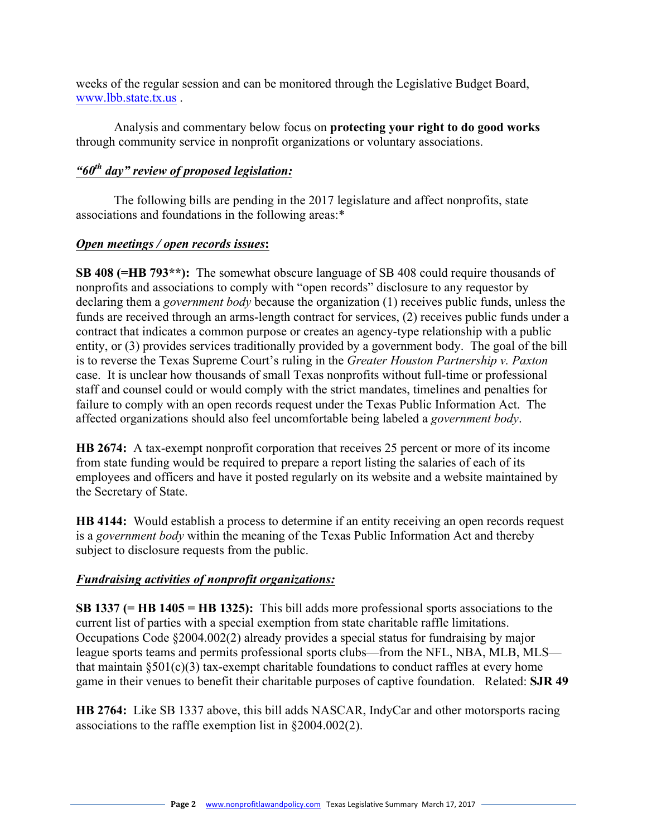weeks of the regular session and can be monitored through the Legislative Budget Board, www.lbb.state.tx.us .

Analysis and commentary below focus on **protecting your right to do good works** through community service in nonprofit organizations or voluntary associations.

### *"60th day" review of proposed legislation:*

The following bills are pending in the 2017 legislature and affect nonprofits, state associations and foundations in the following areas:\*

### *Open meetings / open records issues***:**

**SB 408 (=HB 793\*\*):** The somewhat obscure language of SB 408 could require thousands of nonprofits and associations to comply with "open records" disclosure to any requestor by declaring them a *government body* because the organization (1) receives public funds, unless the funds are received through an arms-length contract for services, (2) receives public funds under a contract that indicates a common purpose or creates an agency-type relationship with a public entity, or (3) provides services traditionally provided by a government body. The goal of the bill is to reverse the Texas Supreme Court's ruling in the *Greater Houston Partnership v. Paxton* case. It is unclear how thousands of small Texas nonprofits without full-time or professional staff and counsel could or would comply with the strict mandates, timelines and penalties for failure to comply with an open records request under the Texas Public Information Act. The affected organizations should also feel uncomfortable being labeled a *government body*.

**HB 2674:** A tax-exempt nonprofit corporation that receives 25 percent or more of its income from state funding would be required to prepare a report listing the salaries of each of its employees and officers and have it posted regularly on its website and a website maintained by the Secretary of State.

**HB 4144:** Would establish a process to determine if an entity receiving an open records request is a *government body* within the meaning of the Texas Public Information Act and thereby subject to disclosure requests from the public.

### *Fundraising activities of nonprofit organizations:*

**SB 1337 (= HB 1405 = HB 1325):** This bill adds more professional sports associations to the current list of parties with a special exemption from state charitable raffle limitations. Occupations Code §2004.002(2) already provides a special status for fundraising by major league sports teams and permits professional sports clubs—from the NFL, NBA, MLB, MLS that maintain  $\S 501(c)(3)$  tax-exempt charitable foundations to conduct raffles at every home game in their venues to benefit their charitable purposes of captive foundation. Related: **SJR 49**

**HB 2764:** Like SB 1337 above, this bill adds NASCAR, IndyCar and other motorsports racing associations to the raffle exemption list in §2004.002(2).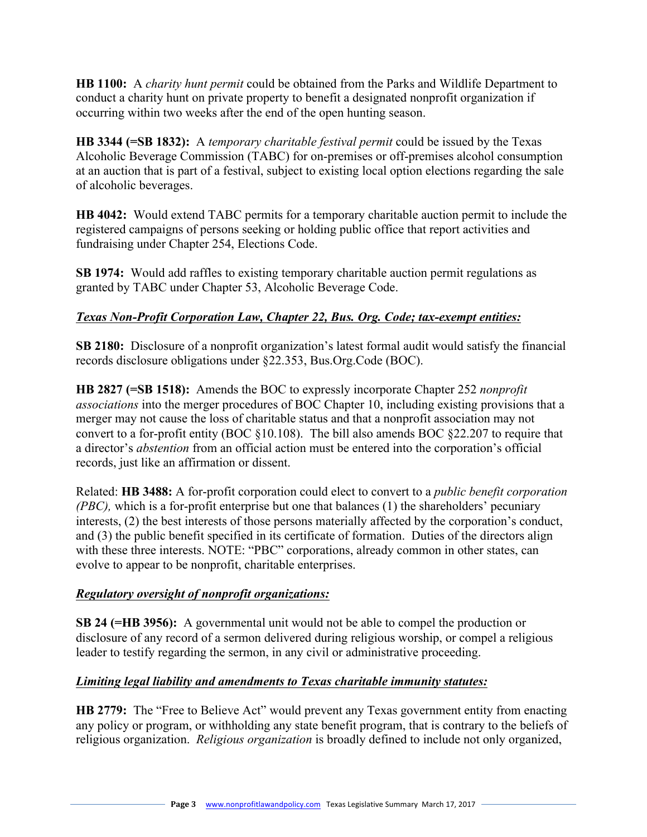**HB 1100:** A *charity hunt permit* could be obtained from the Parks and Wildlife Department to conduct a charity hunt on private property to benefit a designated nonprofit organization if occurring within two weeks after the end of the open hunting season.

**HB 3344 (=SB 1832):** A *temporary charitable festival permit* could be issued by the Texas Alcoholic Beverage Commission (TABC) for on-premises or off-premises alcohol consumption at an auction that is part of a festival, subject to existing local option elections regarding the sale of alcoholic beverages.

**HB 4042:** Would extend TABC permits for a temporary charitable auction permit to include the registered campaigns of persons seeking or holding public office that report activities and fundraising under Chapter 254, Elections Code.

**SB 1974:** Would add raffles to existing temporary charitable auction permit regulations as granted by TABC under Chapter 53, Alcoholic Beverage Code.

# *Texas Non-Profit Corporation Law, Chapter 22, Bus. Org. Code; tax-exempt entities:*

**SB 2180:** Disclosure of a nonprofit organization's latest formal audit would satisfy the financial records disclosure obligations under §22.353, Bus.Org.Code (BOC).

**HB 2827 (=SB 1518):** Amends the BOC to expressly incorporate Chapter 252 *nonprofit associations* into the merger procedures of BOC Chapter 10, including existing provisions that a merger may not cause the loss of charitable status and that a nonprofit association may not convert to a for-profit entity (BOC §10.108). The bill also amends BOC §22.207 to require that a director's *abstention* from an official action must be entered into the corporation's official records, just like an affirmation or dissent.

Related: **HB 3488:** A for-profit corporation could elect to convert to a *public benefit corporation (PBC),* which is a for-profit enterprise but one that balances (1) the shareholders' pecuniary interests, (2) the best interests of those persons materially affected by the corporation's conduct, and (3) the public benefit specified in its certificate of formation. Duties of the directors align with these three interests. NOTE: "PBC" corporations, already common in other states, can evolve to appear to be nonprofit, charitable enterprises.

# *Regulatory oversight of nonprofit organizations:*

**SB 24 (=HB 3956):** A governmental unit would not be able to compel the production or disclosure of any record of a sermon delivered during religious worship, or compel a religious leader to testify regarding the sermon, in any civil or administrative proceeding.

# *Limiting legal liability and amendments to Texas charitable immunity statutes:*

**HB 2779:** The "Free to Believe Act" would prevent any Texas government entity from enacting any policy or program, or withholding any state benefit program, that is contrary to the beliefs of religious organization. *Religious organization* is broadly defined to include not only organized,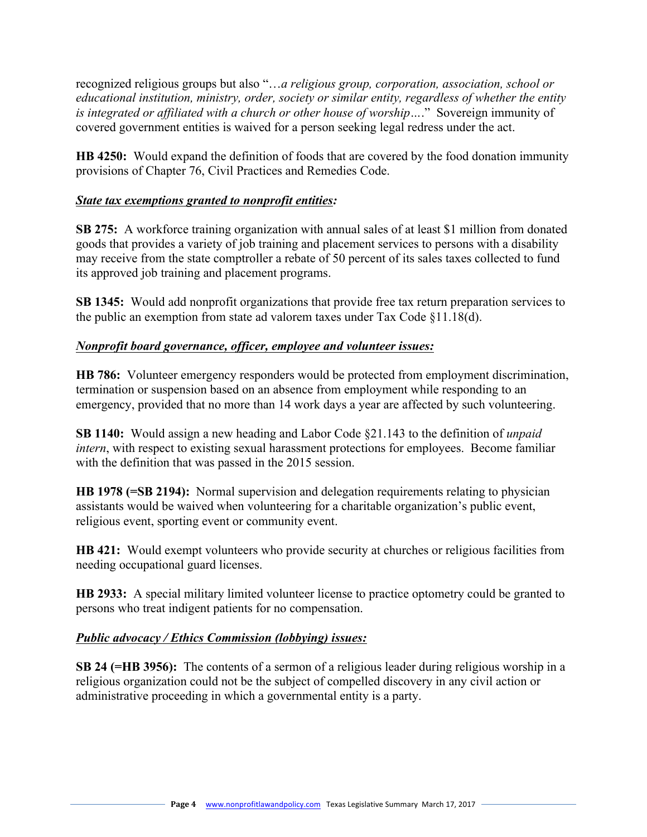recognized religious groups but also "…*a religious group, corporation, association, school or educational institution, ministry, order, society or similar entity, regardless of whether the entity is integrated or affiliated with a church or other house of worship…*." Sovereign immunity of covered government entities is waived for a person seeking legal redress under the act.

**HB 4250:** Would expand the definition of foods that are covered by the food donation immunity provisions of Chapter 76, Civil Practices and Remedies Code.

### *State tax exemptions granted to nonprofit entities:*

**SB 275:** A workforce training organization with annual sales of at least \$1 million from donated goods that provides a variety of job training and placement services to persons with a disability may receive from the state comptroller a rebate of 50 percent of its sales taxes collected to fund its approved job training and placement programs.

**SB 1345:** Would add nonprofit organizations that provide free tax return preparation services to the public an exemption from state ad valorem taxes under Tax Code §11.18(d).

### *Nonprofit board governance, officer, employee and volunteer issues:*

**HB 786:** Volunteer emergency responders would be protected from employment discrimination, termination or suspension based on an absence from employment while responding to an emergency, provided that no more than 14 work days a year are affected by such volunteering.

**SB 1140:** Would assign a new heading and Labor Code §21.143 to the definition of *unpaid intern*, with respect to existing sexual harassment protections for employees. Become familiar with the definition that was passed in the 2015 session.

**HB 1978 (=SB 2194):** Normal supervision and delegation requirements relating to physician assistants would be waived when volunteering for a charitable organization's public event, religious event, sporting event or community event.

**HB 421:** Would exempt volunteers who provide security at churches or religious facilities from needing occupational guard licenses.

**HB 2933:** A special military limited volunteer license to practice optometry could be granted to persons who treat indigent patients for no compensation.

### *Public advocacy / Ethics Commission (lobbying) issues:*

**SB 24 (=HB 3956):** The contents of a sermon of a religious leader during religious worship in a religious organization could not be the subject of compelled discovery in any civil action or administrative proceeding in which a governmental entity is a party.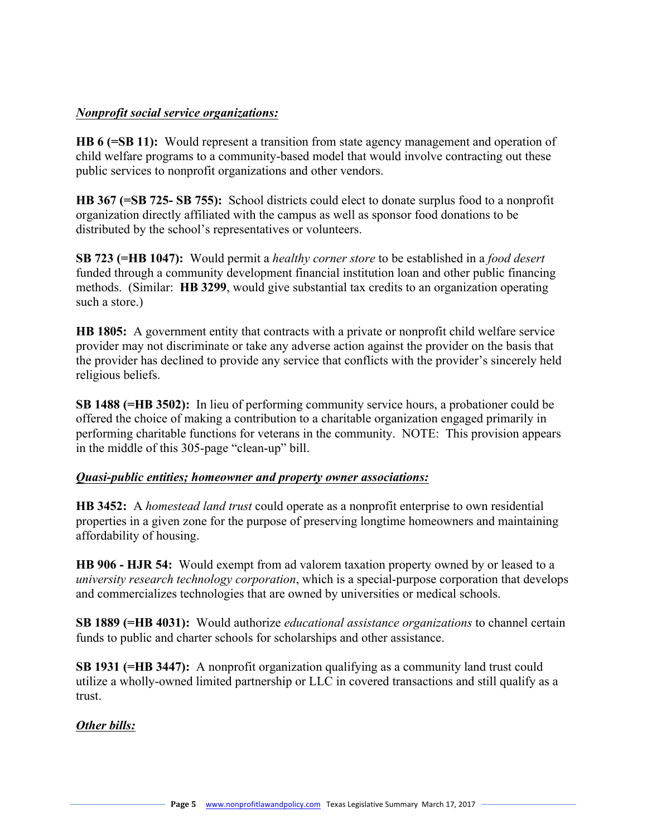### *Nonprofit social service organizations:*

**HB 6 (=SB 11):** Would represent a transition from state agency management and operation of child welfare programs to a community-based model that would involve contracting out these public services to nonprofit organizations and other vendors.

**HB 367 (=SB 725- SB 755):** School districts could elect to donate surplus food to a nonprofit organization directly affiliated with the campus as well as sponsor food donations to be distributed by the school's representatives or volunteers.

**SB 723 (=HB 1047):** Would permit a *healthy corner store* to be established in a *food desert* funded through a community development financial institution loan and other public financing methods. (Similar: **HB 3299**, would give substantial tax credits to an organization operating such a store.)

**HB 1805:** A government entity that contracts with a private or nonprofit child welfare service provider may not discriminate or take any adverse action against the provider on the basis that the provider has declined to provide any service that conflicts with the provider's sincerely held religious beliefs.

**SB 1488 (=HB 3502):** In lieu of performing community service hours, a probationer could be offered the choice of making a contribution to a charitable organization engaged primarily in performing charitable functions for veterans in the community. NOTE: This provision appears in the middle of this 305-page "clean-up" bill.

### *Quasi-public entities; homeowner and property owner associations:*

**HB 3452:** A *homestead land trust* could operate as a nonprofit enterprise to own residential properties in a given zone for the purpose of preserving longtime homeowners and maintaining affordability of housing.

**HB 906 - HJR 54:** Would exempt from ad valorem taxation property owned by or leased to a *university research technology corporation*, which is a special-purpose corporation that develops and commercializes technologies that are owned by universities or medical schools.

**SB 1889 (=HB 4031):** Would authorize *educational assistance organizations* to channel certain funds to public and charter schools for scholarships and other assistance.

**SB 1931 (=HB 3447):** A nonprofit organization qualifying as a community land trust could utilize a wholly-owned limited partnership or LLC in covered transactions and still qualify as a trust.

*Other bills:*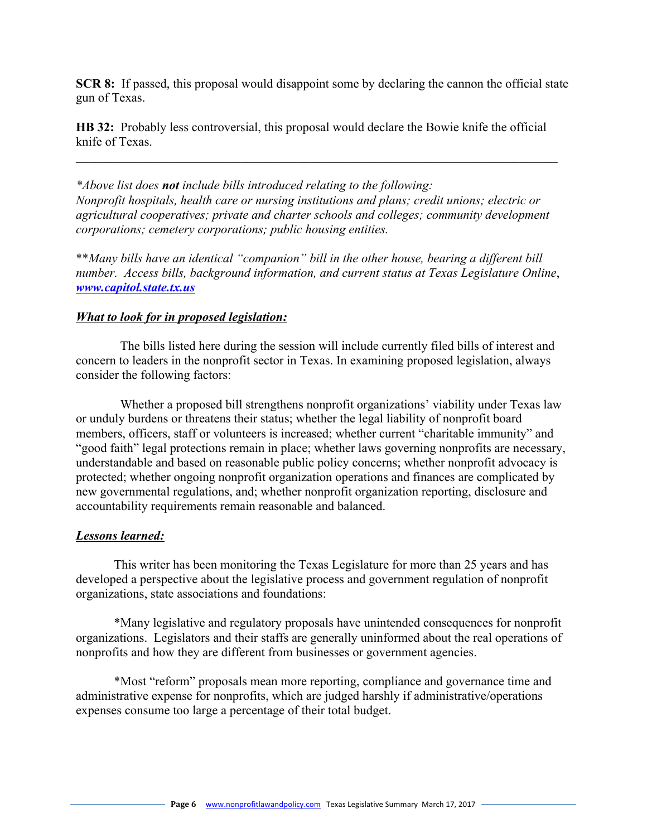**SCR 8:** If passed, this proposal would disappoint some by declaring the cannon the official state gun of Texas.

**HB 32:** Probably less controversial, this proposal would declare the Bowie knife the official knife of Texas.

 $\_$  , and the contribution of the contribution of  $\mathcal{L}_\mathcal{A}$  , and the contribution of  $\mathcal{L}_\mathcal{A}$ 

*\*Above list does not include bills introduced relating to the following: Nonprofit hospitals, health care or nursing institutions and plans; credit unions; electric or agricultural cooperatives; private and charter schools and colleges; community development corporations; cemetery corporations; public housing entities.* 

\*\**Many bills have an identical "companion" bill in the other house, bearing a different bill number. Access bills, background information, and current status at Texas Legislature Online*, *www.capitol.state.tx.us*

#### *What to look for in proposed legislation:*

 The bills listed here during the session will include currently filed bills of interest and concern to leaders in the nonprofit sector in Texas. In examining proposed legislation, always consider the following factors:

 Whether a proposed bill strengthens nonprofit organizations' viability under Texas law or unduly burdens or threatens their status; whether the legal liability of nonprofit board members, officers, staff or volunteers is increased; whether current "charitable immunity" and "good faith" legal protections remain in place; whether laws governing nonprofits are necessary, understandable and based on reasonable public policy concerns; whether nonprofit advocacy is protected; whether ongoing nonprofit organization operations and finances are complicated by new governmental regulations, and; whether nonprofit organization reporting, disclosure and accountability requirements remain reasonable and balanced.

#### *Lessons learned:*

This writer has been monitoring the Texas Legislature for more than 25 years and has developed a perspective about the legislative process and government regulation of nonprofit organizations, state associations and foundations:

\*Many legislative and regulatory proposals have unintended consequences for nonprofit organizations. Legislators and their staffs are generally uninformed about the real operations of nonprofits and how they are different from businesses or government agencies.

\*Most "reform" proposals mean more reporting, compliance and governance time and administrative expense for nonprofits, which are judged harshly if administrative/operations expenses consume too large a percentage of their total budget.